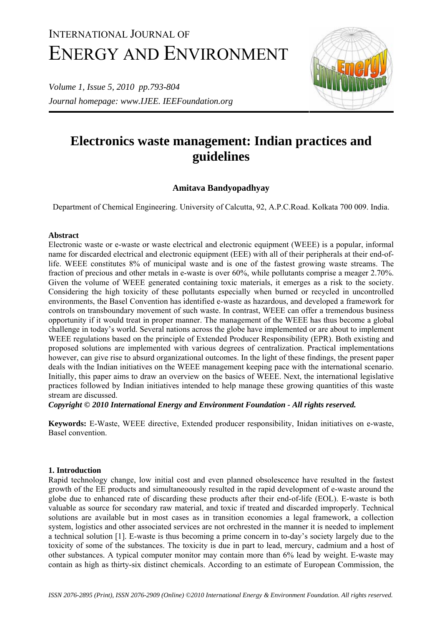# INTERNATIONAL JOURNAL OF ENERGY AND ENVIRONMENT

*Volume 1, Issue 5, 2010 pp.793-804 Journal homepage: www.IJEE. IEEFoundation.org* 



# **Electronics waste management: Indian practices and guidelines**

# **Amitava Bandyopadhyay**

Department of Chemical Engineering. University of Calcutta, 92, A.P.C.Road. Kolkata 700 009. India.

## **Abstract**

Electronic waste or e-waste or waste electrical and electronic equipment (WEEE) is a popular, informal name for discarded electrical and electronic equipment (EEE) with all of their peripherals at their end-oflife. WEEE constitutes 8% of municipal waste and is one of the fastest growing waste streams. The fraction of precious and other metals in e-waste is over 60%, while pollutants comprise a meager 2.70%. Given the volume of WEEE generated containing toxic materials, it emerges as a risk to the society. Considering the high toxicity of these pollutants especially when burned or recycled in uncontrolled environments, the Basel Convention has identified e-waste as hazardous, and developed a framework for controls on transboundary movement of such waste. In contrast, WEEE can offer a tremendous business opportunity if it would treat in proper manner. The management of the WEEE has thus become a global challenge in today's world. Several nations across the globe have implemented or are about to implement WEEE regulations based on the principle of Extended Producer Responsibility (EPR). Both existing and proposed solutions are implemented with various degrees of centralization. Practical implementations however, can give rise to absurd organizational outcomes. In the light of these findings, the present paper deals with the Indian initiatives on the WEEE management keeping pace with the international scenario. Initially, this paper aims to draw an overview on the basics of WEEE. Next, the international legislative practices followed by Indian initiatives intended to help manage these growing quantities of this waste stream are discussed.

*Copyright © 2010 International Energy and Environment Foundation - All rights reserved.* 

**Keywords:** E-Waste, WEEE directive, Extended producer responsibility, Inidan initiatives on e-waste, Basel convention.

### **1. Introduction**

Rapid technology change, low initial cost and even planned obsolescence have resulted in the fastest growth of the EE products and simultaneoously resulted in the rapid development of e-waste around the globe due to enhanced rate of discarding these products after their end-of-life (EOL). E-waste is both valuable as source for secondary raw material, and toxic if treated and discarded improperly. Technical solutions are available but in most cases as in transition economies a legal framework, a collection system, logistics and other associated services are not orchrested in the manner it is needed to implement a technical solution [1]. E-waste is thus becoming a prime concern in to-day's society largely due to the toxicity of some of the substances. The toxicity is due in part to lead, mercury, cadmium and a host of other substances. A typical computer monitor may contain more than 6% lead by weight. E-waste may contain as high as thirty-six distinct chemicals. According to an estimate of European Commission, the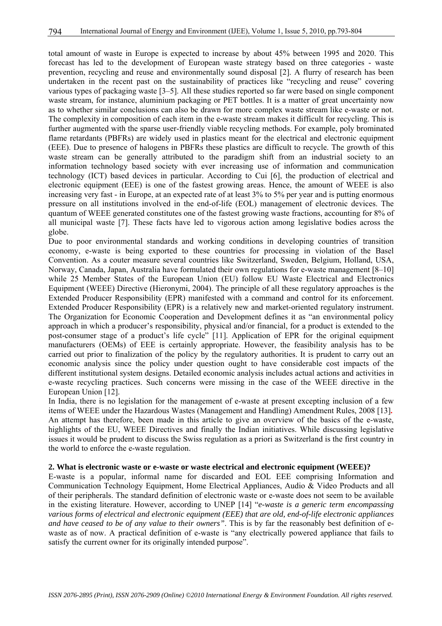total amount of waste in Europe is expected to increase by about 45% between 1995 and 2020. This forecast has led to the development of European waste strategy based on three categories - waste prevention, recycling and reuse and environmentally sound disposal [2]. A flurry of research has been undertaken in the recent past on the sustainability of practices like "recycling and reuse" covering various types of packaging waste [3–5]. All these studies reported so far were based on single component waste stream, for instance, aluminium packaging or PET bottles. It is a matter of great uncertainty now as to whether similar conclusions can also be drawn for more complex waste stream like e-waste or not. The complexity in composition of each item in the e-waste stream makes it difficult for recycling. This is further augmented with the sparse user-friendly viable recycling methods. For example, poly brominated flame retardants (PBFRs) are widely used in plastics meant for the electrical and electronic equipment (EEE). Due to presence of halogens in PBFRs these plastics are difficult to recycle. The growth of this waste stream can be generally attributed to the paradigm shift from an industrial society to an information technology based society with ever increasing use of information and communication technology (ICT) based devices in particular. According to Cui [6], the production of electrical and electronic equipment (EEE) is one of the fastest growing areas. Hence, the amount of WEEE is also increasing very fast - in Europe, at an expected rate of at least 3% to 5% per year and is putting enormous pressure on all institutions involved in the end-of-life (EOL) management of electronic devices. The quantum of WEEE generated constitutes one of the fastest growing waste fractions, accounting for 8% of all municipal waste [7]. These facts have led to vigorous action among legislative bodies across the globe.

Due to poor environmental standards and working conditions in developing countries of transition economy, e-waste is being exported to these countries for processing in violation of the Basel Convention. As a couter measure several countries like Switzerland, Sweden, Belgium, Holland, USA, Norway, Canada, Japan, Australia have formulated their own regulations for e-waste management [8–10] while 25 Member States of the European Union (EU) follow EU Waste Electrical and Electronics Equipment (WEEE) Directive (Hieronymi, 2004). The principle of all these regulatory approaches is the Extended Producer Responsibility (EPR) manifested with a command and control for its enforcement. Extended Producer Responsibility (EPR) is a relatively new and market-oriented regulatory instrument. The Organization for Economic Cooperation and Development defines it as "an environmental policy approach in which a producer's responsibility, physical and/or financial, for a product is extended to the post-consumer stage of a product's life cycle" [11]. Application of EPR for the original equipment manufacturers (OEMs) of EEE is certainly appropriate. However, the feasibility analysis has to be carried out prior to finalization of the policy by the regulatory authorities. It is prudent to carry out an economic analysis since the policy under question ought to have considerable cost impacts of the different institutional system designs. Detailed economic analysis includes actual actions and activities in e-waste recycling practices. Such concerns were missing in the case of the WEEE directive in the European Union [12].

In India, there is no legislation for the management of e-waste at present excepting inclusion of a few items of WEEE under the Hazardous Wastes (Management and Handling) Amendment Rules, 2008 [13]**.**  An attempt has therefore, been made in this article to give an overview of the basics of the e-waste, highlights of the EU, WEEE Directives and finally the Indian initiatives. While discussing legislative issues it would be prudent to discuss the Swiss regulation as a priori as Switzerland is the first country in the world to enforce the e-waste regulation.

#### **2. What is electronic waste or e-waste or waste electrical and electronic equipment (WEEE)?**

E-waste is a popular, informal name for discarded and EOL EEE comprising Information and Communication Technology Equipment, Home Electrical Appliances, Audio & Video Products and all of their peripherals. The standard definition of electronic waste or e-waste does not seem to be available in the existing literature. However, according to UNEP [14] "*e-waste is a generic term encompassing various forms of electrical and electronic equipment (EEE) that are old, end-of-life electronic appliances and have ceased to be of any value to their owners"*. This is by far the reasonably best definition of ewaste as of now. A practical definition of e-waste is "any electrically powered appliance that fails to satisfy the current owner for its originally intended purpose".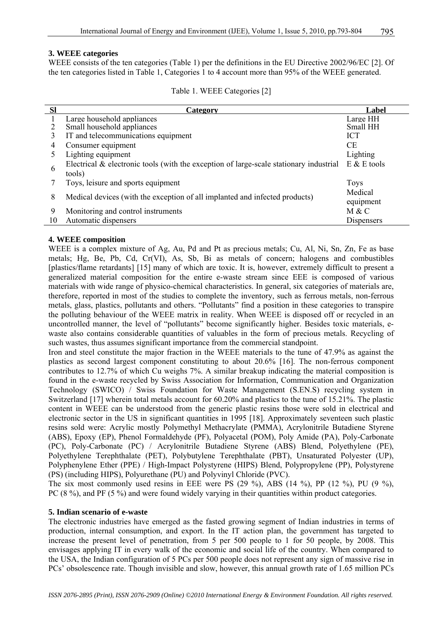#### **3. WEEE categories**

WEEE consists of the ten categories (Table 1) per the definitions in the EU Directive 2002/96/EC [2]. Of the ten categories listed in Table 1, Categories 1 to 4 account more than 95% of the WEEE generated.

#### Table 1. WEEE Categories [2]

| <b>Sl</b> | <b>Category</b>                                                                           | Label           |
|-----------|-------------------------------------------------------------------------------------------|-----------------|
|           | Large household appliances                                                                | Large HH        |
|           | Small household appliances                                                                | Small HH        |
|           | IT and telecommunications equipment                                                       | <b>ICT</b>      |
| 4         | Consumer equipment                                                                        | CE              |
|           | Lighting equipment                                                                        | Lighting        |
|           | Electrical $\&$ electronic tools (with the exception of large-scale stationary industrial | $E$ & $E$ tools |
| 6         | tools)                                                                                    |                 |
|           | Toys, leisure and sports equipment                                                        | <b>Toys</b>     |
|           |                                                                                           | Medical         |
| 8         | Medical devices (with the exception of all implanted and infected products)               | equipment       |
| 9         | Monitoring and control instruments                                                        | M & C           |
| 10        | Automatic dispensers                                                                      | Dispensers      |

#### **4. WEEE composition**

WEEE is a complex mixture of Ag, Au, Pd and Pt as precious metals; Cu, Al, Ni, Sn, Zn, Fe as base metals; Hg, Be, Pb, Cd, Cr(VI), As, Sb, Bi as metals of concern; halogens and combustibles [plastics/flame retardants] [15] many of which are toxic. It is, however, extremely difficult to present a generalized material composition for the entire e-waste stream since EEE is composed of various materials with wide range of physico-chemical characteristics. In general, six categories of materials are, therefore, reported in most of the studies to complete the inventory, such as ferrous metals, non-ferrous metals, glass, plastics, pollutants and others. "Pollutants" find a position in these categories to transpire the polluting behaviour of the WEEE matrix in reality. When WEEE is disposed off or recycled in an uncontrolled manner, the level of "pollutants" become significantly higher. Besides toxic materials, ewaste also contains considerable quantities of valuables in the form of precious metals. Recycling of such wastes, thus assumes significant importance from the commercial standpoint.

Iron and steel constitute the major fraction in the WEEE materials to the tune of 47.9% as against the plastics as second largest component constituting to about 20.6% [16]. The non-ferrous component contributes to 12.7% of which Cu weighs 7%. A similar breakup indicating the material composition is found in the e-waste recycled by Swiss Association for Information, Communication and Organization Technology (SWICO) / Swiss Foundation for Waste Management (S.EN.S) recycling system in Switzerland [17] wherein total metals account for 60.20% and plastics to the tune of 15.21%. The plastic content in WEEE can be understood from the generic plastic resins those were sold in electrical and electronic sector in the US in significant quantities in 1995 [18]. Approximately seventeen such plastic resins sold were: Acrylic mostly Polymethyl Methacrylate (PMMA), Acrylonitrile Butadiene Styrene (ABS), Epoxy (EP), Phenol Formaldehyde (PF), Polyacetal (POM), Poly Amide (PA), Poly-Carbonate (PC), Poly-Carbonate (PC) / Acrylonitrile Butadiene Styrene (ABS) Blend, Polyethylene (PE), Polyethylene Terephthalate (PET), Polybutylene Terephthalate (PBT), Unsaturated Polyester (UP), Polyphenylene Ether (PPE) / High-Impact Polystyrene (HIPS) Blend, Polypropylene (PP), Polystyrene (PS) (including HIPS), Polyurethane (PU) and Polyvinyl Chloride (PVC).

The six most commonly used resins in EEE were PS  $(29\%)$ , ABS  $(14\%)$ , PP  $(12\%)$ , PU  $(9\%)$ , PC (8 %), and PF (5 %) and were found widely varying in their quantities within product categories.

#### **5. Indian scenario of e-waste**

The electronic industries have emerged as the fasted growing segment of Indian industries in terms of production, internal consumption, and export. In the IT action plan, the government has targeted to increase the present level of penetration, from 5 per 500 people to 1 for 50 people, by 2008. This envisages applying IT in every walk of the economic and social life of the country. When compared to the USA, the Indian configuration of 5 PCs per 500 people does not represent any sign of massive rise in PCs' obsolescence rate. Though invisible and slow, however, this annual growth rate of 1.65 million PCs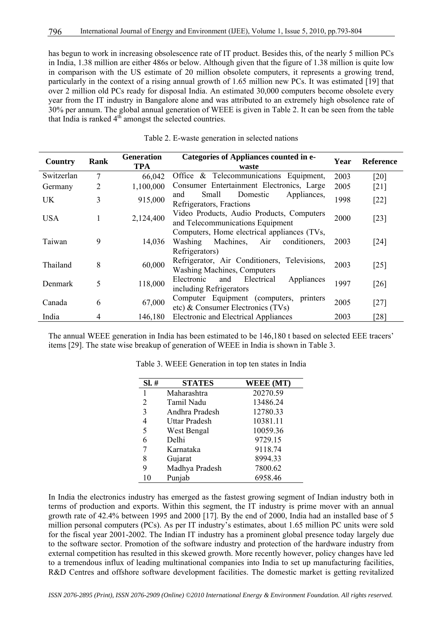has begun to work in increasing obsolescence rate of IT product. Besides this, of the nearly 5 million PCs in India, 1.38 million are either 486s or below. Although given that the figure of 1.38 million is quite low in comparison with the US estimate of 20 million obsolete computers, it represents a growing trend, particularly in the context of a rising annual growth of 1.65 million new PCs. It was estimated [19] that over 2 million old PCs ready for disposal India. An estimated 30,000 computers become obsolete every year from the IT industry in Bangalore alone and was attributed to an extremely high obsolence rate of 30% per annum. The global annual generation of WEEE is given in Table 2. It can be seen from the table that India is ranked  $4^{t\overline{h}}$  amongst the selected countries.

| Country    | <b>Rank</b> | <b>Generation</b><br><b>TPA</b> | Categories of Appliances counted in e-<br>waste                                                               | Year | <b>Reference</b>             |
|------------|-------------|---------------------------------|---------------------------------------------------------------------------------------------------------------|------|------------------------------|
| Switzerlan | 7           | 66,042                          | Office & Telecommunications Equipment,                                                                        | 2003 | [20]                         |
| Germany    | 2           | 1,100,000                       | Consumer Entertainment Electronics, Large                                                                     | 2005 | [21]                         |
| <b>UK</b>  | 3           | 915,000                         | Domestic<br>Appliances,<br>Small<br>and<br>Refrigerators, Fractions                                           | 1998 | $[22]$                       |
| <b>USA</b> | 1           | 2,124,400                       | Video Products, Audio Products, Computers<br>and Telecommunications Equipment                                 | 2000 | $[23]$                       |
| Taiwan     | 9           | 14,036                          | Computers, Home electrical appliances (TVs,<br>Machines,<br>Washing<br>Air<br>conditioners,<br>Refrigerators) | 2003 | [24]                         |
| Thailand   | 8           | 60,000                          | Refrigerator, Air Conditioners, Televisions,<br><b>Washing Machines, Computers</b>                            | 2003 | $\lceil 25 \rceil$           |
| Denmark    | 5           | 118,000                         | Electrical<br>Appliances<br>Electronic<br>and<br>including Refrigerators                                      | 1997 | $\lceil 26 \rceil$           |
| Canada     | 6           | 67,000                          | Computer Equipment (computers,<br>printers<br>etc) & Consumer Electronics (TVs)                               | 2005 | $[27]$                       |
| India      | 4           | 146,180                         | <b>Electronic and Electrical Appliances</b>                                                                   | 2003 | $\left\lceil 28\right\rceil$ |

|  | Table 2. E-waste generation in selected nations |  |  |
|--|-------------------------------------------------|--|--|
|  |                                                 |  |  |

The annual WEEE generation in India has been estimated to be 146,180 t based on selected EEE tracers' items [29]. The state wise breakup of generation of WEEE in India is shown in Table 3.

| SI.# | <b>STATES</b>  | <b>WEEE</b> (MT) |
|------|----------------|------------------|
| 1    | Maharashtra    | 20270.59         |
| 2    | Tamil Nadu     | 13486.24         |
| 3    | Andhra Pradesh | 12780.33         |
| 4    | Uttar Pradesh  | 10381.11         |
| 5    | West Bengal    | 10059.36         |
| 6    | Delhi          | 9729.15          |
| 7    | Karnataka      | 9118.74          |
| 8    | Gujarat        | 8994.33          |
| 9    | Madhya Pradesh | 7800.62          |
| 10   | Punjab         | 6958.46          |

Table 3. WEEE Generation in top ten states in India

In India the electronics industry has emerged as the fastest growing segment of Indian industry both in terms of production and exports. Within this segment, the IT industry is prime mover with an annual growth rate of 42.4% between 1995 and 2000 [17]. By the end of 2000, India had an installed base of 5 million personal computers (PCs). As per IT industry's estimates, about 1.65 million PC units were sold for the fiscal year 2001-2002. The Indian IT industry has a prominent global presence today largely due to the software sector. Promotion of the software industry and protection of the hardware industry from external competition has resulted in this skewed growth. More recently however, policy changes have led to a tremendous influx of leading multinational companies into India to set up manufacturing facilities, R&D Centres and offshore software development facilities. The domestic market is getting revitalized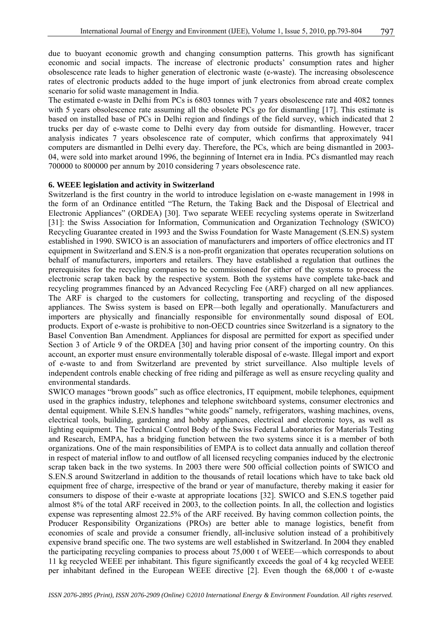due to buoyant economic growth and changing consumption patterns. This growth has significant economic and social impacts. The increase of electronic products' consumption rates and higher obsolescence rate leads to higher generation of electronic waste (e-waste). The increasing obsolescence rates of electronic products added to the huge import of junk electronics from abroad create complex scenario for solid waste management in India.

The estimated e-waste in Delhi from PCs is 6803 tonnes with 7 years obsolescence rate and 4082 tonnes with 5 years obsolescence rate assuming all the obsolete PCs go for dismantling [17]. This estimate is based on installed base of PCs in Delhi region and findings of the field survey, which indicated that 2 trucks per day of e-waste come to Delhi every day from outside for dismantling. However, tracer analysis indicates 7 years obsolescence rate of computer, which confirms that approximately 941 computers are dismantled in Delhi every day. Therefore, the PCs, which are being dismantled in 2003- 04, were sold into market around 1996, the beginning of Internet era in India. PCs dismantled may reach 700000 to 800000 per annum by 2010 considering 7 years obsolescence rate.

#### **6. WEEE legislation and activity in Switzerland**

Switzerland is the first country in the world to introduce legislation on e-waste management in 1998 in the form of an Ordinance entitled "The Return, the Taking Back and the Disposal of Electrical and Electronic Appliances" (ORDEA) [30]. Two separate WEEE recycling systems operate in Switzerland [31]: the Swiss Association for Information, Communication and Organization Technology (SWICO) Recycling Guarantee created in 1993 and the Swiss Foundation for Waste Management (S.EN.S) system established in 1990. SWICO is an association of manufacturers and importers of office electronics and IT equipment in Switzerland and S.EN.S is a non-profit organization that operates recuperation solutions on behalf of manufacturers, importers and retailers. They have established a regulation that outlines the prerequisites for the recycling companies to be commissioned for either of the systems to process the electronic scrap taken back by the respective system. Both the systems have complete take-back and recycling programmes financed by an Advanced Recycling Fee (ARF) charged on all new appliances. The ARF is charged to the customers for collecting, transporting and recycling of the disposed appliances. The Swiss system is based on EPR—both legally and operationally. Manufacturers and importers are physically and financially responsible for environmentally sound disposal of EOL products. Export of e-waste is prohibitive to non-OECD countries since Switzerland is a signatory to the Basel Convention Ban Amendment. Appliances for disposal are permitted for export as specified under Section 3 of Article 9 of the ORDEA [30] and having prior consent of the importing country. On this account, an exporter must ensure environmentally tolerable disposal of e-waste. Illegal import and export of e-waste to and from Switzerland are prevented by strict surveillance. Also multiple levels of independent controls enable checking of free riding and pilferage as well as ensure recycling quality and environmental standards.

SWICO manages "brown goods" such as office electronics, IT equipment, mobile telephones, equipment used in the graphics industry, telephones and telephone switchboard systems, consumer electronics and dental equipment. While S.EN.S handles "white goods" namely, refrigerators, washing machines, ovens, electrical tools, building, gardening and hobby appliances, electrical and electronic toys, as well as lighting equipment. The Technical Control Body of the Swiss Federal Laboratories for Materials Testing and Research, EMPA, has a bridging function between the two systems since it is a member of both organizations. One of the main responsibilities of EMPA is to collect data annually and collation thereof in respect of material inflow to and outflow of all licensed recycling companies induced by the electronic scrap taken back in the two systems. In 2003 there were 500 official collection points of SWICO and S.EN.S around Switzerland in addition to the thousands of retail locations which have to take back old equipment free of charge, irrespective of the brand or year of manufacture, thereby making it easier for consumers to dispose of their e-waste at appropriate locations [32]. SWICO and S.EN.S together paid almost 8% of the total ARF received in 2003, to the collection points. In all, the collection and logistics expense was representing almost 22.5% of the ARF received. By having common collection points, the Producer Responsibility Organizations (PROs) are better able to manage logistics, benefit from economies of scale and provide a consumer friendly, all-inclusive solution instead of a prohibitively expensive brand specific one. The two systems are well established in Switzerland. In 2004 they enabled the participating recycling companies to process about 75,000 t of WEEE—which corresponds to about 11 kg recycled WEEE per inhabitant. This figure significantly exceeds the goal of 4 kg recycled WEEE per inhabitant defined in the European WEEE directive [2]. Even though the 68,000 t of e-waste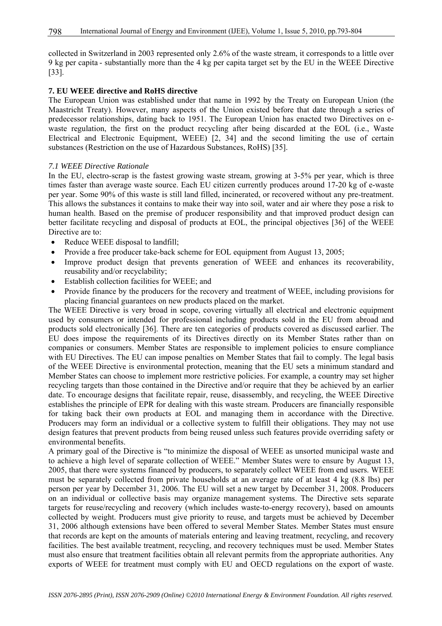collected in Switzerland in 2003 represented only 2.6% of the waste stream, it corresponds to a little over 9 kg per capita - substantially more than the 4 kg per capita target set by the EU in the WEEE Directive [33].

#### **7. EU WEEE directive and RoHS directive**

The European Union was established under that name in 1992 by the Treaty on European Union (the Maastricht Treaty). However, many aspects of the Union existed before that date through a series of predecessor relationships, dating back to 1951. The European Union has enacted two Directives on ewaste regulation, the first on the product recycling after being discarded at the EOL (i.e., Waste Electrical and Electronic Equipment, WEEE) [2, 34] and the second limiting the use of certain substances (Restriction on the use of Hazardous Substances, RoHS) [35].

#### *7.1 WEEE Directive Rationale*

In the EU, electro-scrap is the fastest growing waste stream, growing at 3-5% per year, which is three times faster than average waste source. Each EU citizen currently produces around 17-20 kg of e-waste per year. Some 90% of this waste is still land filled, incinerated, or recovered without any pre-treatment. This allows the substances it contains to make their way into soil, water and air where they pose a risk to human health. Based on the premise of producer responsibility and that improved product design can better facilitate recycling and disposal of products at EOL, the principal objectives [36] of the WEEE Directive are to:

- Reduce WEEE disposal to landfill;
- Provide a free producer take-back scheme for EOL equipment from August 13, 2005;
- Improve product design that prevents generation of WEEE and enhances its recoverability, reusability and/or recyclability;
- Establish collection facilities for WEEE; and
- Provide finance by the producers for the recovery and treatment of WEEE, including provisions for placing financial guarantees on new products placed on the market.

The WEEE Directive is very broad in scope, covering virtually all electrical and electronic equipment used by consumers or intended for professional including products sold in the EU from abroad and products sold electronically [36]. There are ten categories of products covered as discussed earlier. The EU does impose the requirements of its Directives directly on its Member States rather than on companies or consumers. Member States are responsible to implement policies to ensure compliance with EU Directives. The EU can impose penalties on Member States that fail to comply. The legal basis of the WEEE Directive is environmental protection, meaning that the EU sets a minimum standard and Member States can choose to implement more restrictive policies. For example, a country may set higher recycling targets than those contained in the Directive and/or require that they be achieved by an earlier date. To encourage designs that facilitate repair, reuse, disassembly, and recycling, the WEEE Directive establishes the principle of EPR for dealing with this waste stream. Producers are financially responsible for taking back their own products at EOL and managing them in accordance with the Directive. Producers may form an individual or a collective system to fulfill their obligations. They may not use design features that prevent products from being reused unless such features provide overriding safety or environmental benefits.

A primary goal of the Directive is "to minimize the disposal of WEEE as unsorted municipal waste and to achieve a high level of separate collection of WEEE." Member States were to ensure by August 13, 2005, that there were systems financed by producers, to separately collect WEEE from end users. WEEE must be separately collected from private households at an average rate of at least 4 kg (8.8 lbs) per person per year by December 31, 2006. The EU will set a new target by December 31, 2008. Producers on an individual or collective basis may organize management systems. The Directive sets separate targets for reuse/recycling and recovery (which includes waste-to-energy recovery), based on amounts collected by weight. Producers must give priority to reuse, and targets must be achieved by December 31, 2006 although extensions have been offered to several Member States. Member States must ensure that records are kept on the amounts of materials entering and leaving treatment, recycling, and recovery facilities. The best available treatment, recycling, and recovery techniques must be used. Member States must also ensure that treatment facilities obtain all relevant permits from the appropriate authorities. Any exports of WEEE for treatment must comply with EU and OECD regulations on the export of waste.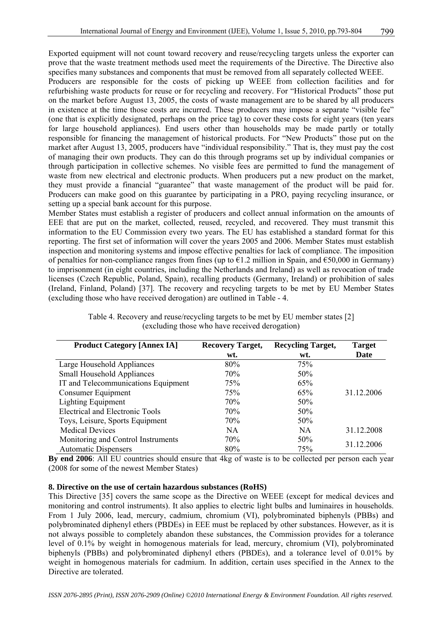Exported equipment will not count toward recovery and reuse/recycling targets unless the exporter can prove that the waste treatment methods used meet the requirements of the Directive. The Directive also specifies many substances and components that must be removed from all separately collected WEEE.

Producers are responsible for the costs of picking up WEEE from collection facilities and for refurbishing waste products for reuse or for recycling and recovery. For "Historical Products" those put on the market before August 13, 2005, the costs of waste management are to be shared by all producers in existence at the time those costs are incurred. These producers may impose a separate "visible fee" (one that is explicitly designated, perhaps on the price tag) to cover these costs for eight years (ten years for large household appliances). End users other than households may be made partly or totally responsible for financing the management of historical products. For "New Products" those put on the market after August 13, 2005, producers have "individual responsibility." That is, they must pay the cost of managing their own products. They can do this through programs set up by individual companies or through participation in collective schemes. No visible fees are permitted to fund the management of waste from new electrical and electronic products. When producers put a new product on the market, they must provide a financial "guarantee" that waste management of the product will be paid for. Producers can make good on this guarantee by participating in a PRO, paying recycling insurance, or setting up a special bank account for this purpose.

Member States must establish a register of producers and collect annual information on the amounts of EEE that are put on the market, collected, reused, recycled, and recovered. They must transmit this information to the EU Commission every two years. The EU has established a standard format for this reporting. The first set of information will cover the years 2005 and 2006. Member States must establish inspection and monitoring systems and impose effective penalties for lack of compliance. The imposition of penalties for non-compliance ranges from fines (up to  $\epsilon$ 1.2 million in Spain, and  $\epsilon$ 50,000 in Germany) to imprisonment (in eight countries, including the Netherlands and Ireland) as well as revocation of trade licenses (Czech Republic, Poland, Spain), recalling products (Germany, Ireland) or prohibition of sales (Ireland, Finland, Poland) [37]. The recovery and recycling targets to be met by EU Member States (excluding those who have received derogation) are outlined in Table - 4.

| <b>Product Category [Annex IA]</b>     | <b>Recovery Target,</b> | <b>Recycling Target,</b> | <b>Target</b> |
|----------------------------------------|-------------------------|--------------------------|---------------|
|                                        | wt.                     | wt.                      | Date          |
| Large Household Appliances             | 80%                     | 75%                      |               |
| <b>Small Household Appliances</b>      | 70%                     | 50%                      |               |
| IT and Telecommunications Equipment    | 75%                     | 65%                      |               |
| Consumer Equipment                     | 75%                     | 65%                      | 31.12.2006    |
| <b>Lighting Equipment</b>              | 70%                     | 50%                      |               |
| <b>Electrical and Electronic Tools</b> | 70%                     | 50%                      |               |
| Toys, Leisure, Sports Equipment        | 70%                     | 50%                      |               |
| <b>Medical Devices</b>                 | <b>NA</b>               | <b>NA</b>                | 31.12.2008    |
| Monitoring and Control Instruments     | 70%                     | 50%                      |               |
| <b>Automatic Dispensers</b>            | 80%                     | 75%                      | 31.12.2006    |

| Table 4. Recovery and reuse/recycling targets to be met by EU member states [2] |  |
|---------------------------------------------------------------------------------|--|
| (excluding those who have received derogation)                                  |  |

**By end 2006**: All EU countries should ensure that 4kg of waste is to be collected per person each year (2008 for some of the newest Member States)

#### **8. Directive on the use of certain hazardous substances (RoHS)**

This Directive [35] covers the same scope as the Directive on WEEE (except for medical devices and monitoring and control instruments). It also applies to electric light bulbs and luminaires in households. From 1 July 2006, lead, mercury, cadmium, chromium (VI), polybrominated biphenyls (PBBs) and polybrominated diphenyl ethers (PBDEs) in EEE must be replaced by other substances. However, as it is not always possible to completely abandon these substances, the Commission provides for a tolerance level of 0.1% by weight in homogenous materials for lead, mercury, chromium (VI), polybrominated biphenyls (PBBs) and polybrominated diphenyl ethers (PBDEs), and a tolerance level of 0.01% by weight in homogenous materials for cadmium. In addition, certain uses specified in the Annex to the Directive are tolerated.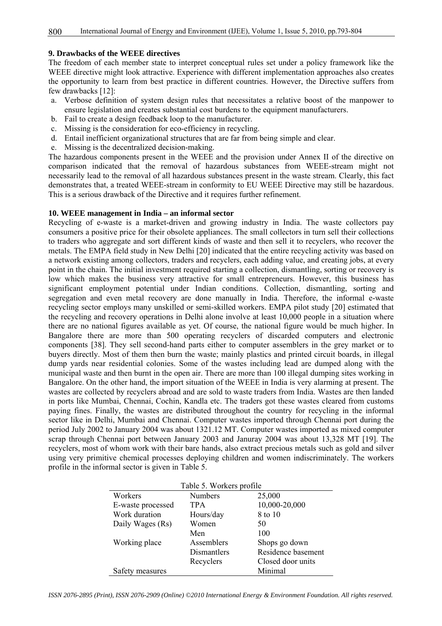#### **9. Drawbacks of the WEEE directives**

The freedom of each member state to interpret conceptual rules set under a policy framework like the WEEE directive might look attractive. Experience with different implementation approaches also creates the opportunity to learn from best practice in different countries. However, the Directive suffers from few drawbacks [12]:

- a. Verbose definition of system design rules that necessitates a relative boost of the manpower to ensure legislation and creates substantial cost burdens to the equipment manufacturers.
- b. Fail to create a design feedback loop to the manufacturer.
- c. Missing is the consideration for eco-efficiency in recycling.
- d. Entail inefficient organizational structures that are far from being simple and clear.
- e. Missing is the decentralized decision-making.

The hazardous components present in the WEEE and the provision under Annex II of the directive on comparison indicated that the removal of hazardous substances from WEEE-stream might not necessarily lead to the removal of all hazardous substances present in the waste stream. Clearly, this fact demonstrates that, a treated WEEE-stream in conformity to EU WEEE Directive may still be hazardous. This is a serious drawback of the Directive and it requires further refinement.

#### **10. WEEE management in India – an informal sector**

Recycling of e-waste is a market-driven and growing industry in India. The waste collectors pay consumers a positive price for their obsolete appliances. The small collectors in turn sell their collections to traders who aggregate and sort different kinds of waste and then sell it to recyclers, who recover the metals. The EMPA field study in New Delhi [20] indicated that the entire recycling activity was based on a network existing among collectors, traders and recyclers, each adding value, and creating jobs, at every point in the chain. The initial investment required starting a collection, dismantling, sorting or recovery is low which makes the business very attractive for small entrepreneurs. However, this business has significant employment potential under Indian conditions. Collection, dismantling, sorting and segregation and even metal recovery are done manually in India. Therefore, the informal e-waste recycling sector employs many unskilled or semi-skilled workers. EMPA pilot study [20] estimated that the recycling and recovery operations in Delhi alone involve at least 10,000 people in a situation where there are no national figures available as yet. Of course, the national figure would be much higher. In Bangalore there are more than 500 operating recyclers of discarded computers and electronic components [38]. They sell second-hand parts either to computer assemblers in the grey market or to buyers directly. Most of them then burn the waste; mainly plastics and printed circuit boards, in illegal dump yards near residential colonies. Some of the wastes including lead are dumped along with the municipal waste and then burnt in the open air. There are more than 100 illegal dumping sites working in Bangalore. On the other hand, the import situation of the WEEE in India is very alarming at present. The wastes are collected by recyclers abroad and are sold to waste traders from India. Wastes are then landed in ports like Mumbai, Chennai, Cochin, Kandla etc. The traders got these wastes cleared from customs paying fines. Finally, the wastes are distributed throughout the country for recycling in the informal sector like in Delhi, Mumbai and Chennai. Computer wastes imported through Chennai port during the period July 2002 to January 2004 was about 1321.12 MT. Computer wastes imported as mixed computer scrap through Chennai port between January 2003 and Januray 2004 was about 13,328 MT [19]. The recyclers, most of whom work with their bare hands, also extract precious metals such as gold and silver using very primitive chemical processes deploying children and women indiscriminately. The workers profile in the informal sector is given in Table 5.

| Table 5. Workers profile |                |                    |  |
|--------------------------|----------------|--------------------|--|
| Workers                  | <b>Numbers</b> | 25,000             |  |
| E-waste processed        | <b>TPA</b>     | 10,000-20,000      |  |
| Work duration            | Hours/day      | 8 to 10            |  |
| Daily Wages (Rs)         | Women          | 50                 |  |
|                          | Men            | 100                |  |
| Working place            | Assemblers     | Shops go down      |  |
|                          | Dismantlers    | Residence basement |  |
|                          | Recyclers      | Closed door units  |  |
| Safety measures          |                | Minimal            |  |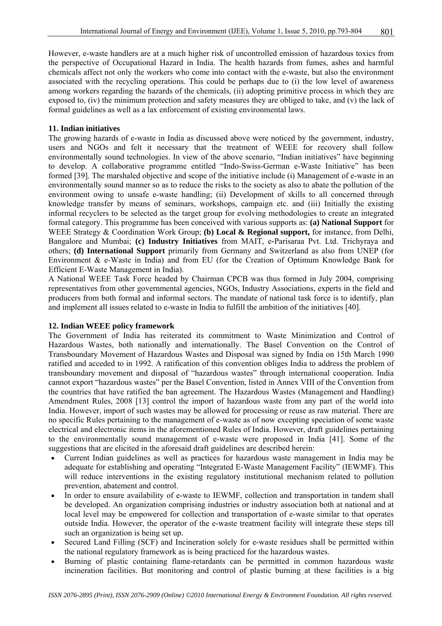However, e-waste handlers are at a much higher risk of uncontrolled emission of hazardous toxics from the perspective of Occupational Hazard in India. The health hazards from fumes, ashes and harmful chemicals affect not only the workers who come into contact with the e-waste, but also the environment associated with the recycling operations. This could be perhaps due to (i) the low level of awareness among workers regarding the hazards of the chemicals, (ii) adopting primitive process in which they are exposed to, (iv) the minimum protection and safety measures they are obliged to take, and (v) the lack of formal guidelines as well as a lax enforcement of existing environmental laws.

#### **11. Indian initiatives**

The growing hazards of e-waste in India as discussed above were noticed by the government, industry, users and NGOs and felt it necessary that the treatment of WEEE for recovery shall follow environmentally sound technologies. In view of the above scenario, "Indian initiatives" have beginning to develop. A collaborative programme entitled "Indo-Swiss-German e-Waste Initiative" has been formed [39]. The marshaled objective and scope of the initiative include (i) Management of e-waste in an environmentally sound manner so as to reduce the risks to the society as also to abate the pollution of the environment owing to unsafe e-waste handling; (ii) Development of skills to all concerned through knowledge transfer by means of seminars, workshops, campaign etc. and (iii) Initially the existing informal recyclers to be selected as the target group for evolving methodologies to create an integrated formal category. This programme has been conceived with various supports as: **(a) National Support** for WEEE Strategy & Coordination Work Group; **(b) Local & Regional support,** for instance, from Delhi, Bangalore and Mumbai; **(c) Industry Initiatives** from MAIT, e**-**Parisaraa Pvt. Ltd. Trichyraya and others; **(d) International Support** primarily from Germany and Switzerland as also from UNEP (for Environment & e-Waste in India) and from EU (for the Creation of Optimum Knowledge Bank for Efficient E-Waste Management in India).

A National WEEE Task Force headed by Chairman CPCB was thus formed in July 2004, comprising representatives from other governmental agencies, NGOs, Industry Associations, experts in the field and producers from both formal and informal sectors. The mandate of national task force is to identify, plan and implement all issues related to e-waste in India to fulfill the ambition of the initiatives [40].

#### **12. Indian WEEE policy framework**

The Government of India has reiterated its commitment to Waste Minimization and Control of Hazardous Wastes, both nationally and internationally. The Basel Convention on the Control of Transboundary Movement of Hazardous Wastes and Disposal was signed by India on 15th March 1990 ratified and acceded to in 1992. A ratification of this convention obliges India to address the problem of transboundary movement and disposal of "hazardous wastes" through international cooperation. India cannot export "hazardous wastes" per the Basel Convention, listed in Annex VIII of the Convention from the countries that have ratified the ban agreement. The Hazardous Wastes (Management and Handling) Amendment Rules, 2008 [13] control the import of hazardous waste from any part of the world into India. However, import of such wastes may be allowed for processing or reuse as raw material. There are no specific Rules pertaining to the management of e-waste as of now excepting speciation of some waste electrical and electronic items in the aforementioned Rules of India. However, draft guidelines pertaining to the environmentally sound management of e-waste were proposed in India [41]. Some of the suggestions that are elicited in the aforesaid draft guidelines are described herein:

- Current Indian guidelines as well as practices for hazardous waste management in India may be adequate for establishing and operating "Integrated E-Waste Management Facility" (IEWMF). This will reduce interventions in the existing regulatory institutional mechanism related to pollution prevention, abatement and control.
- In order to ensure availability of e-waste to IEWMF, collection and transportation in tandem shall be developed. An organization comprising industries or industry association both at national and at local level may be empowered for collection and transportation of e-waste similar to that operates outside India. However, the operator of the e-waste treatment facility will integrate these steps till such an organization is being set up.
- Secured Land Filling (SCF) and Incineration solely for e-waste residues shall be permitted within the national regulatory framework as is being practiced for the hazardous wastes.
- Burning of plastic containing flame-retardants can be permitted in common hazardous waste incineration facilities. But monitoring and control of plastic burning at these facilities is a big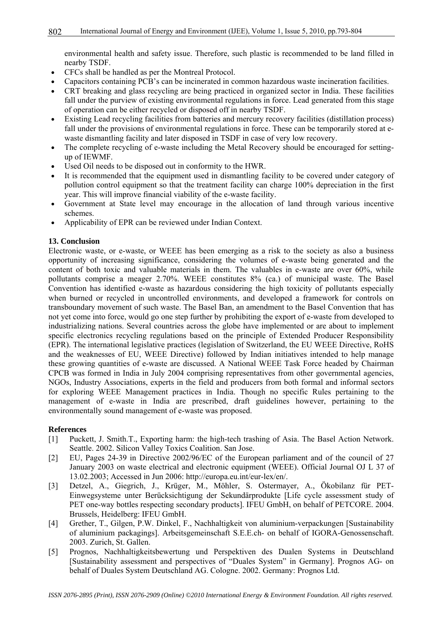environmental health and safety issue. Therefore, such plastic is recommended to be land filled in nearby TSDF.

- CFCs shall be handled as per the Montreal Protocol.
- Capacitors containing PCB's can be incinerated in common hazardous waste incineration facilities.
- CRT breaking and glass recycling are being practiced in organized sector in India. These facilities fall under the purview of existing environmental regulations in force. Lead generated from this stage of operation can be either recycled or disposed off in nearby TSDF.
- Existing Lead recycling facilities from batteries and mercury recovery facilities (distillation process) fall under the provisions of environmental regulations in force. These can be temporarily stored at ewaste dismantling facility and later disposed in TSDF in case of very low recovery.
- The complete recycling of e-waste including the Metal Recovery should be encouraged for settingup of IEWMF.
- Used Oil needs to be disposed out in conformity to the HWR.
- It is recommended that the equipment used in dismantling facility to be covered under category of pollution control equipment so that the treatment facility can charge 100% depreciation in the first year. This will improve financial viability of the e-waste facility.
- Government at State level may encourage in the allocation of land through various incentive schemes.
- Applicability of EPR can be reviewed under Indian Context.

#### **13. Conclusion**

Electronic waste, or e-waste, or WEEE has been emerging as a risk to the society as also a business opportunity of increasing significance, considering the volumes of e-waste being generated and the content of both toxic and valuable materials in them. The valuables in e-waste are over 60%, while pollutants comprise a meager 2.70%. WEEE constitutes 8% (ca.) of municipal waste. The Basel Convention has identified e-waste as hazardous considering the high toxicity of pollutants especially when burned or recycled in uncontrolled environments, and developed a framework for controls on transboundary movement of such waste. The Basel Ban, an amendment to the Basel Convention that has not yet come into force, would go one step further by prohibiting the export of e-waste from developed to industrializing nations. Several countries across the globe have implemented or are about to implement specific electronics recycling regulations based on the principle of Extended Producer Responsibility (EPR). The international legislative practices (legislation of Switzerland, the EU WEEE Directive, RoHS and the weaknesses of EU, WEEE Directive) followed by Indian initiatives intended to help manage these growing quantities of e-waste are discussed. A National WEEE Task Force headed by Chairman CPCB was formed in India in July 2004 comprising representatives from other governmental agencies, NGOs, Industry Associations, experts in the field and producers from both formal and informal sectors for exploring WEEE Management practices in India. Though no specific Rules pertaining to the management of e-waste in India are prescribed, draft guidelines however, pertaining to the environmentally sound management of e-waste was proposed.

#### **References**

- [1] Puckett, J. Smith.T., Exporting harm: the high-tech trashing of Asia. The Basel Action Network. Seattle. 2002. Silicon Valley Toxics Coalition. San Jose.
- [2] EU, Pages 24-39 in Directive 2002/96/EC of the European parliament and of the council of 27 January 2003 on waste electrical and electronic equipment (WEEE). Official Journal OJ L 37 of 13.02.2003; Accessed in Jun 2006: http://europa.eu.int/eur-lex/en/.
- [3] Detzel, A., Giegrich, J., Krüger, M., Möhler, S. Ostermayer, A., Ökobilanz für PET-Einwegsysteme unter Berücksichtigung der Sekundärprodukte [Life cycle assessment study of PET one-way bottles respecting secondary products]. IFEU GmbH, on behalf of PETCORE. 2004. Brussels, Heidelberg: IFEU GmbH.
- [4] Grether, T., Gilgen, P.W. Dinkel, F., Nachhaltigkeit von aluminium-verpackungen [Sustainability of aluminium packagings]. Arbeitsgemeinschaft S.E.E.ch- on behalf of IGORA-Genossenschaft. 2003. Zurich, St. Gallen.
- [5] Prognos, Nachhaltigkeitsbewertung und Perspektiven des Dualen Systems in Deutschland [Sustainability assessment and perspectives of "Duales System" in Germany]. Prognos AG- on behalf of Duales System Deutschland AG. Cologne. 2002. Germany: Prognos Ltd.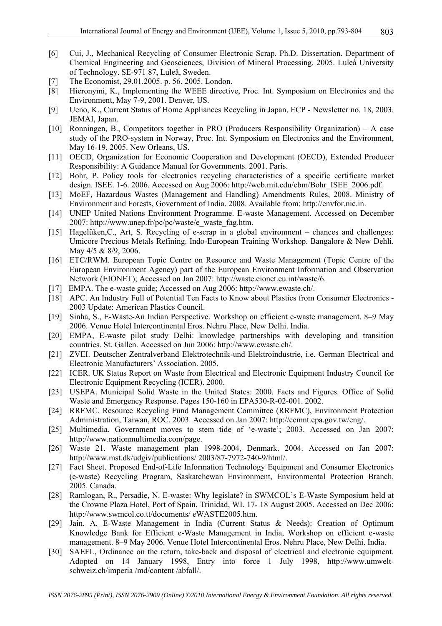- [6] Cui, J., Mechanical Recycling of Consumer Electronic Scrap. Ph.D. Dissertation. Department of Chemical Engineering and Geosciences, Division of Mineral Processing. 2005. Luleå University of Technology. SE-971 87, Luleå, Sweden.
- [7] The Economist, 29.01.2005. p. 56. 2005. London.
- [8] Hieronymi, K., Implementing the WEEE directive, Proc. Int. Symposium on Electronics and the Environment, May 7-9, 2001. Denver, US.
- [9] Ueno, K., Current Status of Home Appliances Recycling in Japan, ECP Newsletter no. 18, 2003. JEMAI, Japan.
- [10] Ronningen, B., Competitors together in PRO (Producers Responsibility Organization) A case study of the PRO-system in Norway, Proc. Int. Symposium on Electronics and the Environment, May 16-19, 2005. New Orleans, US.
- [11] OECD, Organization for Economic Cooperation and Development (OECD), Extended Producer Responsibility: A Guidance Manual for Governments. 2001. Paris.
- [12] Bohr, P. Policy tools for electronics recycling characteristics of a specific certificate market design. ISEE. 1-6. 2006. Accessed on Aug 2006: http://web.mit.edu/ebm/Bohr\_ISEE\_2006.pdf.
- [13] MoEF, Hazardous Wastes (Management and Handling) Amendments Rules, 2008. Ministry of Environment and Forests, Government of India. 2008. Available from: http://envfor.nic.in.
- [14] UNEP United Nations Environment Programme. E-waste Management. Accessed on December 2007: http://www.unep.fr/pc/pc/waste/e\_waste\_fag.htm.
- [15] Hagelüken,C., Art, S. Recycling of e-scrap in a global environment chances and challenges: Umicore Precious Metals Refining. Indo-European Training Workshop. Bangalore & New Dehli. May 4/5 & 8/9, 2006.
- [16] ETC/RWM. European Topic Centre on Resource and Waste Management (Topic Centre of the European Environment Agency) part of the European Environment Information and Observation Network (EIONET); Accessed on Jan 2007: http://waste.eionet.eu.int/waste/6.
- [17] EMPA. The e-waste guide; Accessed on Aug 2006: http://www.ewaste.ch/.
- [18] APC. An Industry Full of Potential Ten Facts to Know about Plastics from Consumer Electronics 2003 Update: American Plastics Council.
- [19] Sinha, S., E-Waste-An Indian Perspective. Workshop on efficient e-waste management. 8–9 May 2006. Venue Hotel Intercontinental Eros. Nehru Place, New Delhi. India.
- [20] EMPA, E-waste pilot study Delhi: knowledge partnerships with developing and transition countries. St. Gallen. Accessed on Jun 2006: http://www.ewaste.ch/.
- [21] ZVEI. Deutscher Zentralverband Elektrotechnik-und Elektroindustrie, i.e. German Electrical and Electronic Manufacturers' Association. 2005.
- [22] ICER. UK Status Report on Waste from Electrical and Electronic Equipment Industry Council for Electronic Equipment Recycling (ICER). 2000.
- [23] USEPA. Municipal Solid Waste in the United States: 2000. Facts and Figures. Office of Solid Waste and Emergency Response. Pages 150-160 in EPA530-R-02-001. 2002.
- [24] RRFMC. Resource Recycling Fund Management Committee (RRFMC), Environment Protection Administration, Taiwan, ROC. 2003. Accessed on Jan 2007: http://cemnt.epa.gov.tw/eng/.
- [25] Multimedia. Government moves to stem tide of 'e-waste'; 2003. Accessed on Jan 2007: http://www.nationmultimedia.com/page.
- [26] Waste 21. Waste management plan 1998-2004, Denmark. 2004. Accessed on Jan 2007: http://www.mst.dk/udgiv/publications/ 2003/87-7972-740-9/html/.
- [27] Fact Sheet. Proposed End-of-Life Information Technology Equipment and Consumer Electronics (e-waste) Recycling Program, Saskatchewan Environment, Environmental Protection Branch. 2005. Canada.
- [28] Ramlogan, R., Persadie, N. E-waste: Why legislate? in SWMCOL's E-Waste Symposium held at the Crowne Plaza Hotel, Port of Spain, Trinidad, WI. 17- 18 August 2005. Accessed on Dec 2006: http://www.swmcol.co.tt/documents/ eWASTE2005.htm.
- [29] Jain, A. E-Waste Management in India (Current Status & Needs): Creation of Optimum Knowledge Bank for Efficient e-Waste Management in India, Workshop on efficient e-waste management. 8–9 May 2006. Venue Hotel Intercontinental Eros. Nehru Place, New Delhi. India.
- [30] SAEFL, Ordinance on the return, take-back and disposal of electrical and electronic equipment. Adopted on 14 January 1998, Entry into force 1 July 1998, http://www.umweltschweiz.ch/imperia /md/content /abfall/.